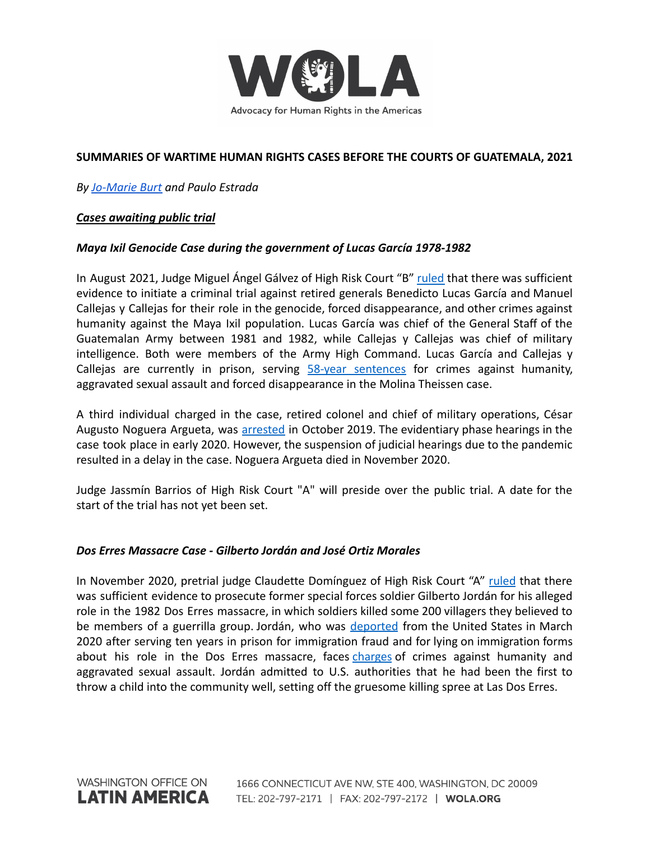

# **SUMMARIES OF WARTIME HUMAN RIGHTS CASES BEFORE THE COURTS OF GUATEMALA, 2021**

*By [Jo-Marie Burt](https://www.wola.org/people/jo-marie-burt/) and Paulo Estrada*

## *Cases awaiting public trial*

## *Maya Ixil Genocide Case during the government of Lucas García 1978-1982*

In August 2021, Judge Miguel Ángel Gálvez of High Risk Court "B" [ruled](https://gazeta.gt/jefes-militares-a-juicio-por-genocidio-maya-ixil-1978-1982/) that there was sufficient evidence to initiate a criminal trial against retired generals Benedicto Lucas García and Manuel Callejas y Callejas for their role in the genocide, forced disappearance, and other crimes against humanity against the Maya Ixil population. Lucas García was chief of the General Staff of the Guatemalan Army between 1981 and 1982, while Callejas y Callejas was chief of military intelligence. Both were members of the Army High Command. Lucas García and Callejas y Callejas are currently in prison, serving 58-year [sentences](https://www.ijmonitor.org/2018/08/the-molina-theissen-judgment-part-i-overview-of-the-courts-findings/) for crimes against humanity, aggravated sexual assault and forced disappearance in the Molina Theissen case.

A third individual charged in the case, retired colonel and chief of military operations, César Augusto Noguera Argueta, was [arrested](https://www.ijmonitor.org/2019/10/former-chief-of-military-operations-arrested-in-maya-ixil-genocide-case/) in October 2019. The evidentiary phase hearings in the case took place in early 2020. However, the suspension of judicial hearings due to the pandemic resulted in a delay in the case. Noguera Argueta died in November 2020.

Judge Jassmín Barrios of High Risk Court "A" will preside over the public trial. A date for the start of the trial has not yet been set.

### *Dos Erres Massacre Case - Gilberto Jordán and José Ortiz Morales*

In November 2020, pretrial judge Claudette Domínguez of High Risk Court "A" [ruled](https://www.ijmonitor.org/2020/11/judge-orders-trial-of-ex-kaibil-for-his-role-in-dos-erres-massacre/) that there was sufficient evidence to prosecute former special forces soldier Gilberto Jordán for his alleged role in the 1982 Dos Erres massacre, in which soldiers killed some 200 villagers they believed to be members of a guerrilla group. Jordán, who was [deported](https://www.ijmonitor.org/2020/03/ex-kaibil-who-admitted-to-killing-in-dos-erres-massacre-deported-to-guatemala/) from the United States in March 2020 after serving ten years in prison for immigration fraud and for lying on immigration forms about his role in the Dos Erres massacre, faces [charges](https://www.ijmonitor.org/2020/11/judge-orders-trial-of-ex-kaibil-for-his-role-in-dos-erres-massacre/) of crimes against humanity and aggravated sexual assault. Jordán admitted to U.S. authorities that he had been the first to throw a child into the community well, setting off the gruesome killing spree at Las Dos Erres.

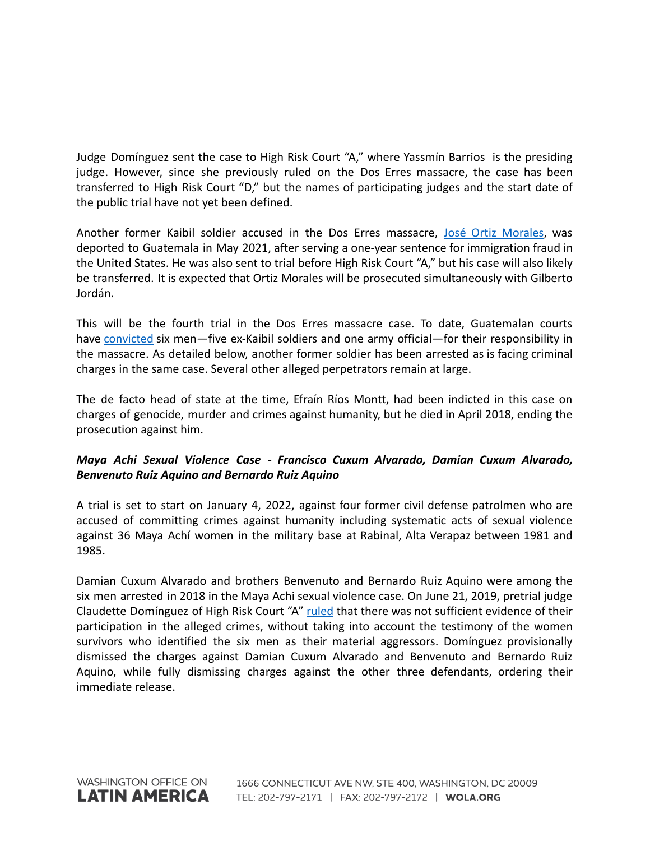Judge Domínguez sent the case to High Risk Court "A," where Yassmín Barrios is the presiding judge. However, since she previously ruled on the Dos Erres massacre, the case has been transferred to High Risk Court "D," but the names of participating judges and the start date of the public trial have not yet been defined.

Another former Kaibil soldier accused in the Dos Erres massacre, José Ortiz [Morales](https://www.ice.gov/news/releases/ice-removes-guatemalan-citizen-alleged-human-rights-violations-connection-1982-dos), was deported to Guatemala in May 2021, after serving a one-year sentence for immigration fraud in the United States. He was also sent to trial before High Risk Court "A," but his case will also likely be transferred. It is expected that Ortiz Morales will be prosecuted simultaneously with Gilberto Jordán.

This will be the fourth trial in the Dos Erres massacre case. To date, Guatemalan courts have [convicted](https://www.ijmonitor.org/2018/11/ex-special-forces-soldier-sentenced-to-5160-years-for-role-in-las-dos-erres-massacre/) six men-five ex-Kaibil soldiers and one army official-for their responsibility in the massacre. As detailed below, another former soldier has been arrested as is facing criminal charges in the same case. Several other alleged perpetrators remain at large.

The de facto head of state at the time, Efraín Ríos Montt, had been indicted in this case on charges of genocide, murder and crimes against humanity, but he died in April 2018, ending the prosecution against him.

# *Maya Achi Sexual Violence Case - Francisco Cuxum Alvarado, Damian Cuxum Alvarado, Benvenuto Ruiz Aquino and Bernardo Ruiz Aquino*

A trial is set to start on January 4, 2022, against four former civil defense patrolmen who are accused of committing crimes against humanity including systematic acts of sexual violence against 36 Maya Achí women in the military base at Rabinal, Alta Verapaz between 1981 and 1985.

Damian Cuxum Alvarado and brothers Benvenuto and Bernardo Ruiz Aquino were among the six men arrested in 2018 in the Maya Achi sexual violence case. On June 21, 2019, pretrial judge Claudette Domínguez of High Risk Court "A" [ruled](https://www.ijmonitor.org/2019/06/in-major-setback-judge-dismisses-charges-in-the-maya-achi-sexual-violence-case/) that there was not sufficient evidence of their participation in the alleged crimes, without taking into account the testimony of the women survivors who identified the six men as their material aggressors. Domínguez provisionally dismissed the charges against Damian Cuxum Alvarado and Benvenuto and Bernardo Ruiz Aquino, while fully dismissing charges against the other three defendants, ordering their immediate release.

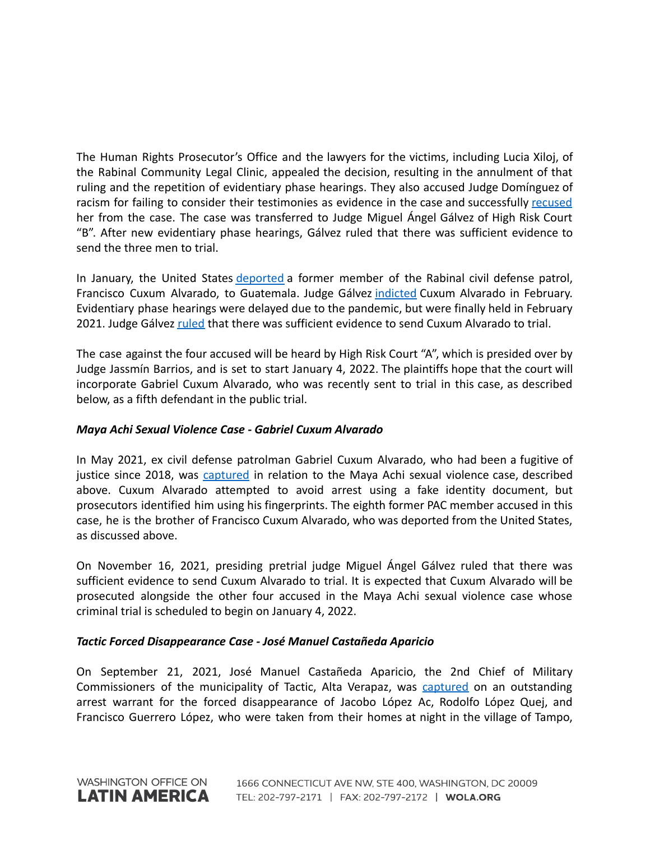The Human Rights Prosecutor's Office and the lawyers for the victims, including Lucia Xiloj, of the Rabinal Community Legal Clinic, appealed the decision, resulting in the annulment of that ruling and the repetition of evidentiary phase hearings. They also accused Judge Domínguez of racism for failing to consider their testimonies as evidence in the case and successfully [recused](https://www.ijmonitor.org/2019/09/judge-dominguez-removed-from-maya-achi-sexual-violence-case/) her from the case. The case was transferred to Judge Miguel Ángel Gálvez of High Risk Court "B". After new evidentiary phase hearings, Gálvez ruled that there was sufficient evidence to send the three men to trial.

In January, the United States [deported](https://www.ijmonitor.org/2020/01/guatemalan-man-wanted-in-the-maya-achi-sexual-violence-case-arrested/) a former member of the Rabinal civil defense patrol, Francisco Cuxum Alvarado, to Guatemala. Judge Gálvez [indicted](https://www.ijmonitor.org/2020/02/former-paramilitary-indicted-in-guatemala-in-maya-achi-sexual-violence-case/) Cuxum Alvarado in February. Evidentiary phase hearings were delayed due to the pandemic, but were finally held in February 2021. Judge Gálvez [ruled](https://gazeta.gt/el-caso-de-violencia-sexual-contra-mujeres-maya-achi-toma-nuevo-rumbo/) that there was sufficient evidence to send Cuxum Alvarado to trial.

The case against the four accused will be heard by High Risk Court "A", which is presided over by Judge Jassmín Barrios, and is set to start January 4, 2022. The plaintiffs hope that the court will incorporate Gabriel Cuxum Alvarado, who was recently sent to trial in this case, as described below, as a fifth defendant in the public trial.

## *Maya Achi Sexual Violence Case - Gabriel Cuxum Alvarado*

In May 2021, ex civil defense patrolman Gabriel Cuxum Alvarado, who had been a fugitive of justice since 2018, was [captured](https://www.swissinfo.ch/spa/guatemala-d-humanos_detienen-a-un-expatrullero-vinculado-a-caso-de-violencia-sexual-en-guatemala/46623652) in relation to the Maya Achi sexual violence case, described above. Cuxum Alvarado attempted to avoid arrest using a fake identity document, but prosecutors identified him using his fingerprints. The eighth former PAC member accused in this case, he is the brother of Francisco Cuxum Alvarado, who was deported from the United States, as discussed above.

On November 16, 2021, presiding pretrial judge Miguel Ángel Gálvez ruled that there was sufficient evidence to send Cuxum Alvarado to trial. It is expected that Cuxum Alvarado will be prosecuted alongside the other four accused in the Maya Achi sexual violence case whose criminal trial is scheduled to begin on January 4, 2022.

## *Tactic Forced Disappearance Case - José Manuel Castañeda Aparicio*

On September 21, 2021, José Manuel Castañeda Aparicio, the 2nd Chief of Military Commissioners of the municipality of Tactic, Alta Verapaz, was [captured](https://www.prensalibre.com/ciudades/zacapa/excomisionado-militar-es-detenido-por-desaparicion-forzada-de-tres-personas-en-aldea-tampo-tactic-alta-verapaz-en-1980-breaking/) on an outstanding arrest warrant for the forced disappearance of Jacobo López Ac, Rodolfo López Quej, and Francisco Guerrero López, who were taken from their homes at night in the village of Tampo,

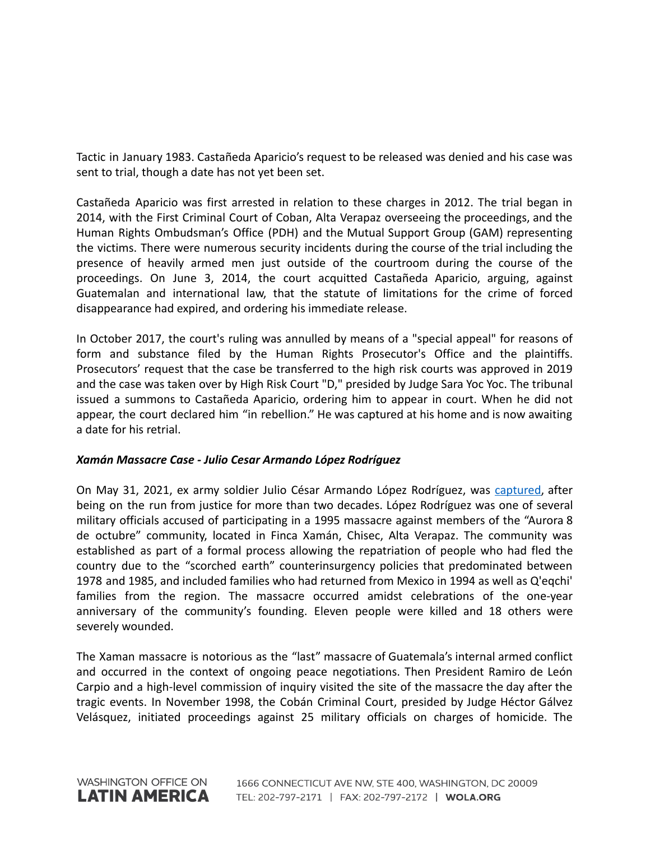Tactic in January 1983. Castañeda Aparicio's request to be released was denied and his case was sent to trial, though a date has not yet been set.

Castañeda Aparicio was first arrested in relation to these charges in 2012. The trial began in 2014, with the First Criminal Court of Coban, Alta Verapaz overseeing the proceedings, and the Human Rights Ombudsman's Office (PDH) and the Mutual Support Group (GAM) representing the victims. There were numerous security incidents during the course of the trial including the presence of heavily armed men just outside of the courtroom during the course of the proceedings. On June 3, 2014, the court acquitted Castañeda Aparicio, arguing, against Guatemalan and international law, that the statute of limitations for the crime of forced disappearance had expired, and ordering his immediate release.

In October 2017, the court's ruling was annulled by means of a "special appeal" for reasons of form and substance filed by the Human Rights Prosecutor's Office and the plaintiffs. Prosecutors' request that the case be transferred to the high risk courts was approved in 2019 and the case was taken over by High Risk Court "D," presided by Judge Sara Yoc Yoc. The tribunal issued a summons to Castañeda Aparicio, ordering him to appear in court. When he did not appear, the court declared him "in rebellion." He was captured at his home and is now awaiting a date for his retrial.

## *Xamán Massacre Case - Julio Cesar Armando López Rodríguez*

On May 31, 2021, ex army soldier Julio César Armando López Rodríguez, was [captured,](https://www.prensalibre.com/hemeroteca/a-20-aos-de-la-masacre-de-xaman/) after being on the run from justice for more than two decades. López Rodríguez was one of several military officials accused of participating in a 1995 massacre against members of the "Aurora 8 de octubre" community, located in Finca Xamán, Chisec, Alta Verapaz. The community was established as part of a formal process allowing the repatriation of people who had fled the country due to the "scorched earth" counterinsurgency policies that predominated between 1978 and 1985, and included families who had returned from Mexico in 1994 as well as Q'eqchi' families from the region. The massacre occurred amidst celebrations of the one-year anniversary of the community's founding. Eleven people were killed and 18 others were severely wounded.

The Xaman massacre is notorious as the "last" massacre of Guatemala's internal armed conflict and occurred in the context of ongoing peace negotiations. Then President Ramiro de León Carpio and a high-level commission of inquiry visited the site of the massacre the day after the tragic events. In November 1998, the Cobán Criminal Court, presided by Judge Héctor Gálvez Velásquez, initiated proceedings against 25 military officials on charges of homicide. The

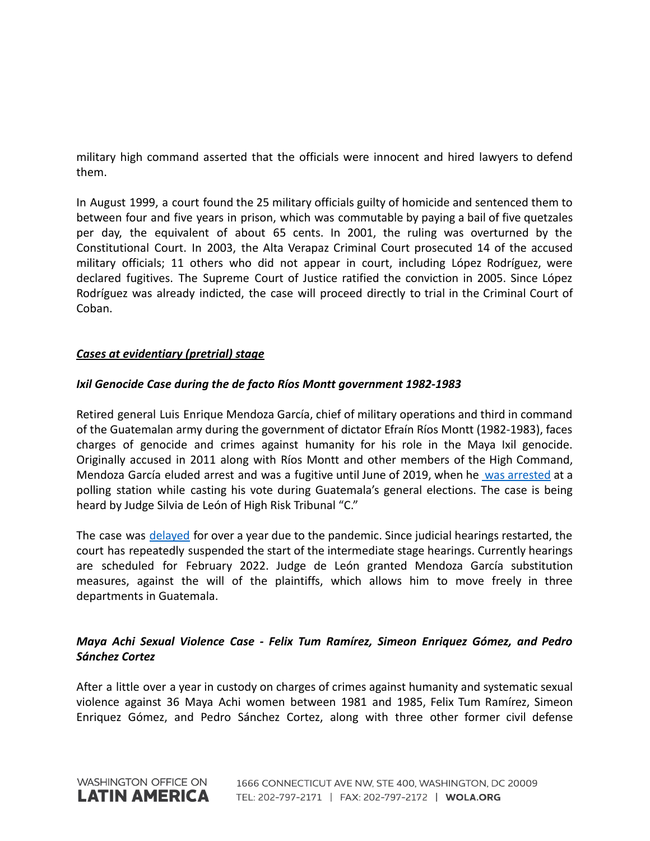military high command asserted that the officials were innocent and hired lawyers to defend them.

In August 1999, a court found the 25 military officials guilty of homicide and sentenced them to between four and five years in prison, which was commutable by paying a bail of five quetzales per day, the equivalent of about 65 cents. In 2001, the ruling was overturned by the Constitutional Court. In 2003, the Alta Verapaz Criminal Court prosecuted 14 of the accused military officials; 11 others who did not appear in court, including López Rodríguez, were declared fugitives. The Supreme Court of Justice ratified the conviction in 2005. Since López Rodríguez was already indicted, the case will proceed directly to trial in the Criminal Court of Coban.

# *Cases at evidentiary (pretrial) stage*

### *Ixil Genocide Case during the de facto Ríos Montt government 1982-1983*

Retired general Luis Enrique Mendoza García, chief of military operations and third in command of the Guatemalan army during the government of dictator Efraín Ríos Montt (1982-1983), faces charges of genocide and crimes against humanity for his role in the Maya Ixil genocide. Originally accused in 2011 along with Ríos Montt and other members of the High Command, Mendoza García eluded arrest and was a fugitive until June of 2019, when he was [arrested](https://www.ijmonitor.org/2019/06/rios-montts-chief-of-operations-fugitive-since-2011-arrested-while-voting/) at a polling station while casting his vote during Guatemala's general elections. The case is being heard by Judge Silvia de León of High Risk Tribunal "C."

The case was delayed for over a year due to the pandemic. Since judicial hearings restarted, the court has repeatedly suspended the start of the intermediate stage hearings. Currently hearings are scheduled for February 2022. Judge de León granted Mendoza García substitution measures, against the will of the plaintiffs, which allows him to move freely in three departments in Guatemala.

# *Maya Achi Sexual Violence Case - Felix Tum Ramírez, Simeon Enriquez Gómez, and Pedro Sánchez Cortez*

After a little over a year in custody on charges of crimes against humanity and systematic sexual violence against 36 Maya Achi women between 1981 and 1985, Felix Tum Ramírez, Simeon Enriquez Gómez, and Pedro Sánchez Cortez, along with three other former civil defense

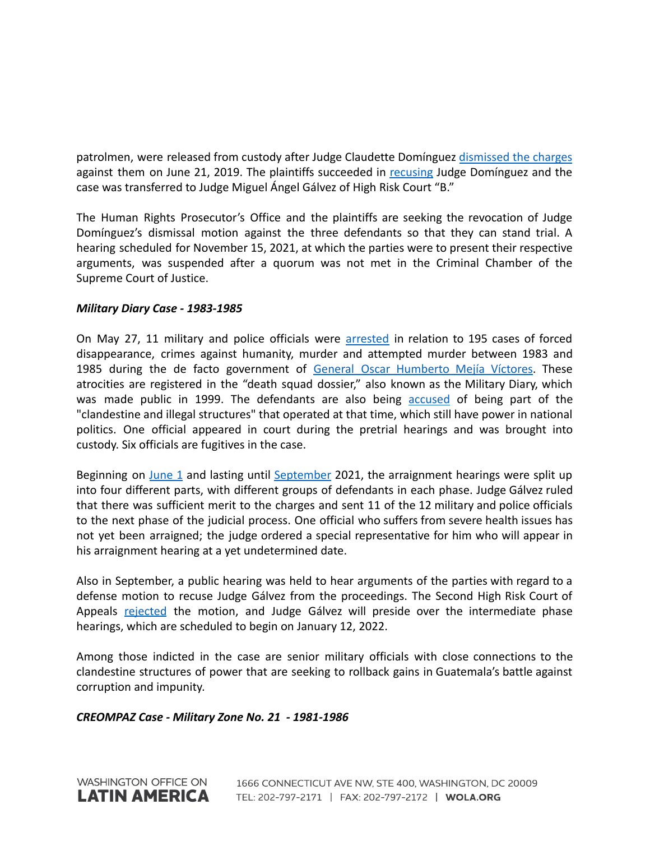patrolmen, were released from custody after Judge Claudette Domínguez [dismissed](https://www.ijmonitor.org/2019/06/in-major-setback-judge-dismisses-charges-in-the-maya-achi-sexual-violence-case/) the charges against them on June 21, 2019. The plaintiffs succeeded in [recusing](https://www.ijmonitor.org/2019/09/judge-dominguez-removed-from-maya-achi-sexual-violence-case/) Judge Domínguez and the case was transferred to Judge Miguel Ángel Gálvez of High Risk Court "B."

The Human Rights Prosecutor's Office and the plaintiffs are seeking the revocation of Judge Domínguez's dismissal motion against the three defendants so that they can stand trial. A hearing scheduled for November 15, 2021, at which the parties were to present their respective arguments, was suspended after a quorum was not met in the Criminal Chamber of the Supreme Court of Justice.

## *Military Diary Case - 1983-1985*

On May 27, 11 military and police officials were [arrested](https://gazeta.gt/44733-2/) in relation to 195 cases of forced disappearance, crimes against humanity, murder and attempted murder between 1983 and 1985 during the de facto government of General Oscar [Humberto](https://gazeta.gt/el-caso-diario-militar-llega-a-los-tribunales-de-guatemala-iii/) Mejía Víctores. These atrocities are registered in the "death squad dossier," also known as the Military Diary, which was made public in 1999. The defendants are also being [accused](https://gazeta.gt/el-caso-diario-militar-llega-a-los-tribunales-de-guatemala-ii/) of being part of the "clandestine and illegal structures" that operated at that time, which still have power in national politics. One official appeared in court during the pretrial hearings and was brought into custody. Six officials are fugitives in the case.

Beginning on [June](https://gazeta.gt/44733-2/) 1 and lasting until [September](https://gazeta.gt/luz-verde-para-que-el-caso-diario-militar-continue-en-tribunales/) 2021, the arraignment hearings were split up into four different parts, with different groups of defendants in each phase. Judge Gálvez ruled that there was sufficient merit to the charges and sent 11 of the 12 military and police officials to the next phase of the judicial process. One official who suffers from severe health issues has not yet been arraigned; the judge ordered a special representative for him who will appear in his arraignment hearing at a yet undetermined date.

Also in September, a public hearing was held to hear arguments of the parties with regard to a defense motion to recuse Judge Gálvez from the proceedings. The Second High Risk Court of Appeals [rejected](https://gazeta.gt/luz-verde-para-que-el-caso-diario-militar-continue-en-tribunales/) the motion, and Judge Gálvez will preside over the intermediate phase hearings, which are scheduled to begin on January 12, 2022.

Among those indicted in the case are senior military officials with close connections to the clandestine structures of power that are seeking to rollback gains in Guatemala's battle against corruption and impunity.

## *CREOMPAZ Case - Military Zone No. 21 - 1981-1986*

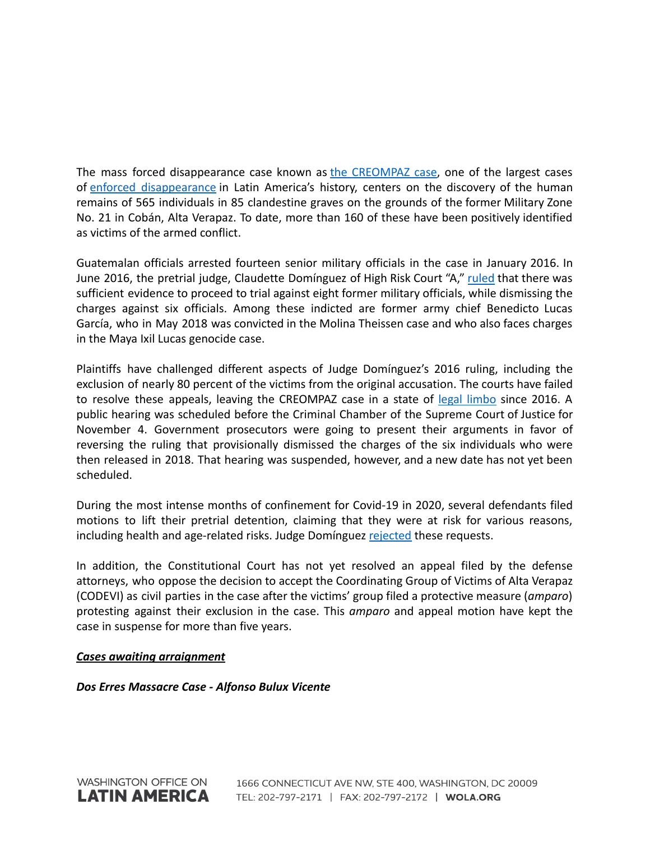The mass forced disappearance case known as the [CREOMPAZ](https://www.ijmonitor.org/2017/06/tied-up-in-appeals-creompaz-enforced-disappearance-case-remains-stalled/) case, one of the largest cases of enforced [disappearance](https://laopinion.com/2016/01/06/historico-arresto-de-exmilitares-por-desapariciones-forzadas-en-guatemala/) in Latin America's history, centers on the discovery of the human remains of 565 individuals in 85 clandestine graves on the grounds of the former Military Zone No. 21 in Cobán, Alta Verapaz. To date, more than 160 of these have been positively identified as victims of the armed conflict.

Guatemalan officials arrested fourteen senior military officials in the case in January 2016. In June 2016, the pretrial judge, Claudette Domínguez of High Risk Court "A," [ruled](https://www.ijmonitor.org/2016/06/eight-military-officers-to-stand-trial-in-creompaz-grave-crimes-case/) that there was sufficient evidence to proceed to trial against eight former military officials, while dismissing the charges against six officials. Among these indicted are former army chief Benedicto Lucas García, who in May 2018 was convicted in the Molina Theissen case and who also faces charges in the Maya Ixil Lucas genocide case.

Plaintiffs have challenged different aspects of Judge Domínguez's 2016 ruling, including the exclusion of nearly 80 percent of the victims from the original accusation. The courts have failed to resolve these appeals, leaving the CREOMPAZ case in a state of legal [limbo](https://www.ijmonitor.org/2017/06/tied-up-in-appeals-creompaz-enforced-disappearance-case-remains-stalled/) since 2016. A public hearing was scheduled before the Criminal Chamber of the Supreme Court of Justice for November 4. Government prosecutors were going to present their arguments in favor of reversing the ruling that provisionally dismissed the charges of the six individuals who were then released in 2018. That hearing was suspended, however, and a new date has not yet been scheduled.

During the most intense months of confinement for Covid-19 in 2020, several defendants filed motions to lift their pretrial detention, claiming that they were at risk for various reasons, including health and age-related risks. Judge Domínguez [rejected](https://www.ijmonitor.org/2020/05/judge-denies-creompaz-defendants-request-for-prison-release/) these requests.

In addition, the Constitutional Court has not yet resolved an appeal filed by the defense attorneys, who oppose the decision to accept the Coordinating Group of Victims of Alta Verapaz (CODEVI) as civil parties in the case after the victims' group filed a protective measure (*amparo*) protesting against their exclusion in the case. This *amparo* and appeal motion have kept the case in suspense for more than five years.

## *Cases awaiting arraignment*

*Dos Erres Massacre Case - Alfonso Bulux Vicente*

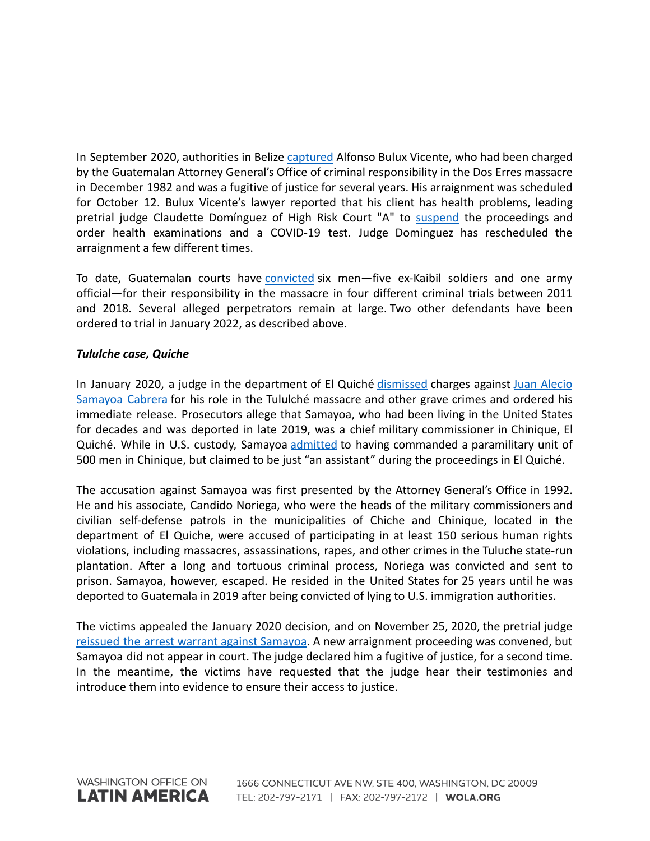In September 2020, authorities in Belize [captured](https://belizean.com/national/guatemalan-fugitive-alfonso-bulux-vicente-expelled-from-belize) Alfonso Bulux Vicente, who had been charged by the Guatemalan Attorney General's Office of criminal responsibility in the Dos Erres massacre in December 1982 and was a fugitive of justice for several years. His arraignment was scheduled for October 12. Bulux Vicente's lawyer reported that his client has health problems, leading pretrial judge Claudette Domínguez of High Risk Court "A" to [suspend](https://www.prensacomunitaria.org/2021/10/se-suspende-la-primera-declaracion-para-exkaibil-vinculado-en-caso-dos-erres/).) the proceedings and order health examinations and a COVID-19 test. Judge Dominguez has rescheduled the arraignment a few different times.

To date, Guatemalan courts have [convicted](https://www.ijmonitor.org/2018/11/ex-special-forces-soldier-sentenced-to-5160-years-for-role-in-las-dos-erres-massacre/) six men—five ex-Kaibil soldiers and one army official—for their responsibility in the massacre in four different criminal trials between 2011 and 2018. Several alleged perpetrators remain at large. Two other defendants have been ordered to trial in January 2022, as described above.

## *Tululche case, Quiche*

In January 2020, a judge in the department of El Quiché [dismissed](https://www.ijmonitor.org/2020/01/a-perfect-storm-guatemalan-judge-dismisses-war-crimes-charges-against-feared-military-commissioner/) charges against Juan [Alecio](https://www.ijmonitor.org/2019/12/after-25-years-in-united-states-guatemalan-accused-of-mass-atrocities-to-face-charges/) [Samayoa](https://www.ijmonitor.org/2019/12/after-25-years-in-united-states-guatemalan-accused-of-mass-atrocities-to-face-charges/) Cabrera for his role in the Tululché massacre and other grave crimes and ordered his immediate release. Prosecutors allege that Samayoa, who had been living in the United States for decades and was deported in late 2019, was a chief military commissioner in Chinique, El Quiché. While in U.S. custody, Samayoa [admitted](https://www.wbur.org/news/2017/12/13/guatemala-samayoa) to having commanded a paramilitary unit of 500 men in Chinique, but claimed to be just "an assistant" during the proceedings in El Quiché.

The accusation against Samayoa was first presented by the Attorney General's Office in 1992. He and his associate, Candido Noriega, who were the heads of the military commissioners and civilian self-defense patrols in the municipalities of Chiche and Chinique, located in the department of El Quiche, were accused of participating in at least 150 serious human rights violations, including massacres, assassinations, rapes, and other crimes in the Tuluche state-run plantation. After a long and tortuous criminal process, Noriega was convicted and sent to prison. Samayoa, however, escaped. He resided in the United States for 25 years until he was deported to Guatemala in 2019 after being convicted of lying to U.S. immigration authorities.

The victims appealed the January 2020 decision, and on November 25, 2020, the pretrial judge reissued the arrest warrant against [Samayoa](https://www.ijmonitor.org/2020/12/the-future-of-war-crimes-prosecutions-in-guatemala/). A new arraignment proceeding was convened, but Samayoa did not appear in court. The judge declared him a fugitive of justice, for a second time. In the meantime, the victims have requested that the judge hear their testimonies and introduce them into evidence to ensure their access to justice.